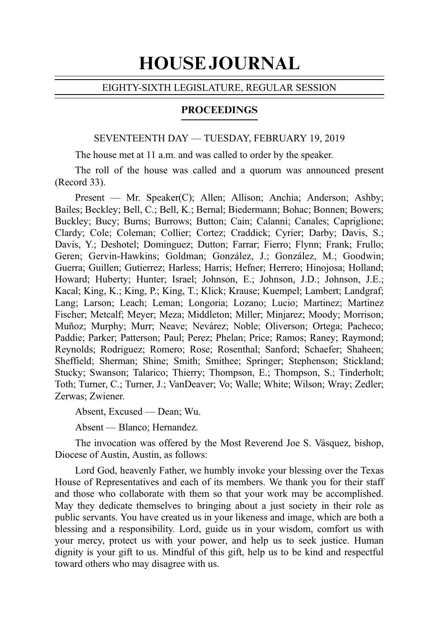# HOUSE JOURNAL

## EIGHTY-SIXTH LEGISLATURE, REGULAR SESSION

## **PROCEEDINGS**

#### SEVENTEENTH DAY — TUESDAY, FEBRUARY 19, 2019

The house met at 11 a.m. and was called to order by the speaker.

The roll of the house was called and a quorum was announced present  $(Record 33)$ .

Present — Mr. Speaker(C); Allen; Allison; Anchia; Anderson; Ashby; Bailes; Beckley; Bell, C.; Bell, K.; Bernal; Biedermann; Bohac; Bonnen; Bowers; Buckley; Bucy; Burns; Burrows; Button; Cain; Calanni; Canales; Capriglione; Clardy; Cole; Coleman; Collier; Cortez; Craddick; Cyrier; Darby; Davis, S.; Davis, Y.; Deshotel; Dominguez; Dutton; Farrar; Fierro; Flynn; Frank; Frullo; Geren; Gervin-Hawkins; Goldman; González, J.; González, M.; Goodwin; Guerra; Guillen; Gutierrez; Harless; Harris; Hefner; Herrero; Hinojosa; Holland; Howard; Huberty; Hunter; Israel; Johnson, E.; Johnson, J.D.; Johnson, J.E.; Kacal; King, K.; King, P.; King, T.; Klick; Krause; Kuempel; Lambert; Landgraf; Lang; Larson; Leach; Leman; Longoria; Lozano; Lucio; Martinez; Martinez Fischer; Metcalf; Meyer; Meza; Middleton; Miller; Minjarez; Moody; Morrison; Muñoz; Murphy; Murr; Neave; Nevárez; Noble; Oliverson; Ortega; Pacheco; Paddie; Parker; Patterson; Paul; Perez; Phelan; Price; Ramos; Raney; Raymond; Reynolds; Rodriguez; Romero; Rose; Rosenthal; Sanford; Schaefer; Shaheen; Sheffield; Sherman; Shine; Smith; Smithee; Springer; Stephenson; Stickland; Stucky; Swanson; Talarico; Thierry; Thompson, E.; Thompson, S.; Tinderholt; Toth; Turner, C.; Turner, J.; VanDeaver; Vo; Walle; White; Wilson; Wray; Zedler; Zerwas; Zwiener.

Absent, Excused — Dean; Wu.

Absent — Blanco; Hernandez.

The invocation was offered by the Most Reverend Joe S. Vásquez, bishop, Diocese of Austin, Austin, as follows:

Lord God, heavenly Father, we humbly invoke your blessing over the Texas House of Representatives and each of its members. We thank you for their staff and those who collaborate with them so that your work may be accomplished. May they dedicate themselves to bringing about a just society in their role as public servants. You have created us in your likeness and image, which are both a blessing and a responsibility. Lord, guide us in your wisdom, comfort us with your mercy, protect us with your power, and help us to seek justice. Human dignity is your gift to us. Mindful of this gift, help us to be kind and respectful toward others who may disagree with us.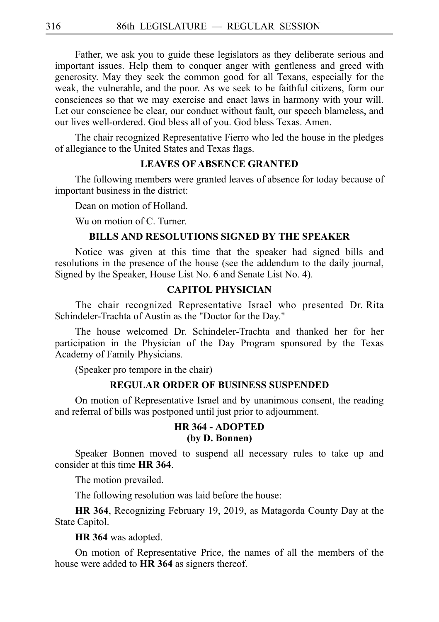Father, we ask you to guide these legislators as they deliberate serious and important issues. Help them to conquer anger with gentleness and greed with generosity. May they seek the common good for all Texans, especially for the weak, the vulnerable, and the poor. As we seek to be faithful citizens, form our consciences so that we may exercise and enact laws in harmony with your will. Let our conscience be clear, our conduct without fault, our speech blameless, and our lives well-ordered. God bless all of you. God bless Texas. Amen.

The chair recognized Representative Fierro who led the house in the pledges of allegiance to the United States and Texas flags.

## **LEAVES OF ABSENCE GRANTED**

The following members were granted leaves of absence for today because of important business in the district:

Dean on motion of Holland.

Wu on motion of C. Turner.

## **BILLS AND RESOLUTIONS SIGNED BY THE SPEAKER**

Notice was given at this time that the speaker had signed bills and resolutions in the presence of the house (see the addendum to the daily journal, Signed by the Speaker, House List No. 6 and Senate List No. 4).

## **CAPITOL PHYSICIAN**

The chair recognized Representative Israel who presented Dr. Rita Schindeler-Trachta of Austin as the "Doctor for the Day."

The house welcomed Dr. Schindeler-Trachta and thanked her for her participation in the Physician of the Day Program sponsored by the Texas Academy of Family Physicians.

(Speaker pro tempore in the chair)

#### **REGULAR ORDER OF BUSINESS SUSPENDED**

On motion of Representative Israel and by unanimous consent, the reading and referral of bills was postponed until just prior to adjournment.

## **HR 364 - ADOPTED (by D. Bonnen)**

Speaker Bonnen moved to suspend all necessary rules to take up and consider at this time **HR 364**.

The motion prevailed.

The following resolution was laid before the house:

**HR 364**, Recognizing February 19, 2019, as Matagorda County Day at the State Capitol.

**HR 364** was adopted.

On motion of Representative Price, the names of all the members of the house were added to **HR 364** as signers thereof.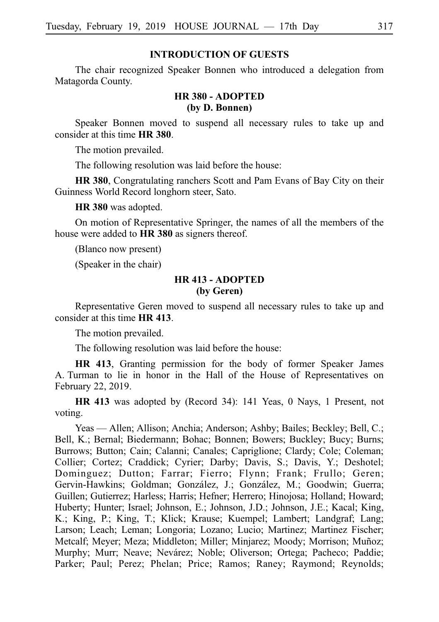#### **INTRODUCTION OF GUESTS**

The chair recognized Speaker Bonnen who introduced a delegation from Matagorda County.

## **HR 380 - ADOPTED (by D. Bonnen)**

Speaker Bonnen moved to suspend all necessary rules to take up and consider at this time **HR** 380.

The motion prevailed.

The following resolution was laid before the house:

**HR 380**, Congratulating ranchers Scott and Pam Evans of Bay City on their Guinness World Record longhorn steer, Sato.

**HR 380** was adopted.

On motion of Representative Springer, the names of all the members of the house were added to **HR** 380 as signers thereof.

(Blanco now present)

(Speaker in the chair)

#### **HR 413 - ADOPTED (by Geren)**

Representative Geren moved to suspend all necessary rules to take up and consider at this time **HR 413**.

The motion prevailed.

The following resolution was laid before the house:

**HR 413**, Granting permission for the body of former Speaker James A. Turman to lie in honor in the Hall of the House of Representatives on February 22, 2019.

**HR 413** was adopted by (Record 34): 141 Yeas, 0 Nays, 1 Present, not voting.

Yeas — Allen; Allison; Anchia; Anderson; Ashby; Bailes; Beckley; Bell, C.; Bell, K.; Bernal; Biedermann; Bohac; Bonnen; Bowers; Buckley; Bucy; Burns; Burrows; Button; Cain; Calanni; Canales; Capriglione; Clardy; Cole; Coleman; Collier; Cortez; Craddick; Cyrier; Darby; Davis, S.; Davis, Y.; Deshotel; Dominguez; Dutton; Farrar; Fierro; Flynn; Frank; Frullo; Geren; Gervin-Hawkins; Goldman; González, J.; González, M.; Goodwin; Guerra; Guillen; Gutierrez; Harless; Harris; Hefner; Herrero; Hinojosa; Holland; Howard; Huberty; Hunter; Israel; Johnson, E.; Johnson, J.D.; Johnson, J.E.; Kacal; King, K.; King, P.; King, T.; Klick; Krause; Kuempel; Lambert; Landgraf; Lang; Larson; Leach; Leman; Longoria; Lozano; Lucio; Martinez; Martinez Fischer; Metcalf; Meyer; Meza; Middleton; Miller; Minjarez; Moody; Morrison; Muñoz; Murphy; Murr; Neave; Nevárez; Noble; Oliverson; Ortega; Pacheco; Paddie; Parker; Paul; Perez; Phelan; Price; Ramos; Raney; Raymond; Reynolds;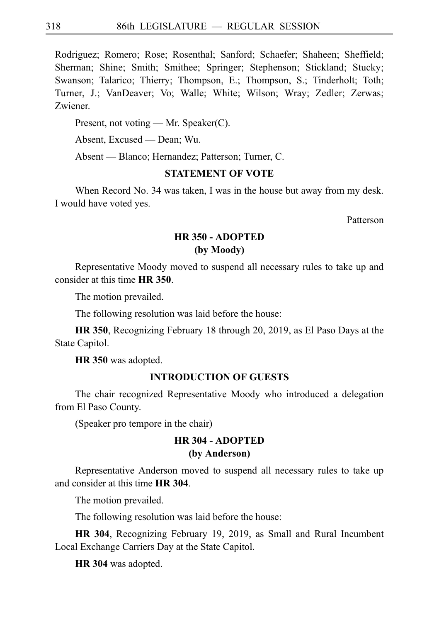Rodriguez; Romero; Rose; Rosenthal; Sanford; Schaefer; Shaheen; Sheffield; Sherman; Shine; Smith; Smithee; Springer; Stephenson; Stickland; Stucky; Swanson; Talarico; Thierry; Thompson, E.; Thompson, S.; Tinderholt; Toth; Turner, J.; VanDeaver; Vo; Walle; White; Wilson; Wray; Zedler; Zerwas; Zwiener.

Present, not voting — Mr. Speaker(C).

Absent, Excused — Dean; Wu.

Absent — Blanco; Hernandez; Patterson; Turner, C.

## **STATEMENT OF VOTE**

When Record No. 34 was taken, I was in the house but away from my desk. I would have voted yes.

Patterson

# **HR 350 - ADOPTED (by Moody)**

Representative Moody moved to suspend all necessary rules to take up and consider at this time **HRi350**.

The motion prevailed.

The following resolution was laid before the house:

**HR 350**, Recognizing February 18 through 20, 2019, as El Paso Days at the State Capitol.

**HR 350** was adopted.

# **INTRODUCTION OF GUESTS**

The chair recognized Representative Moody who introduced a delegation from El Paso County.

(Speaker pro tempore in the chair)

## **HR 304 - ADOPTED (by Anderson)**

Representative Anderson moved to suspend all necessary rules to take up and consider at this time **HR 304**.

The motion prevailed.

The following resolution was laid before the house:

**HR 304**, Recognizing February 19, 2019, as Small and Rural Incumbent Local Exchange Carriers Day at the State Capitol.

**HR 304** was adopted.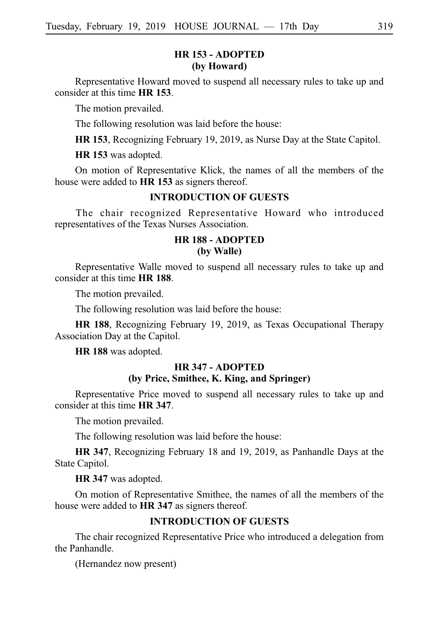## **HR 153 - ADOPTED (by Howard)**

Representative Howard moved to suspend all necessary rules to take up and consider at this time **HR** 153.

The motion prevailed.

The following resolution was laid before the house:

**HR 153**, Recognizing February 19, 2019, as Nurse Day at the State Capitol.

**HR 153** was adopted.

On motion of Representative Klick, the names of all the members of the house were added to **HR 153** as signers thereof.

#### **INTRODUCTION OF GUESTS**

The chair recognized Representative Howard who introduced representatives of the Texas Nurses Association.

## **HR 188 - ADOPTED (by Walle)**

Representative Walle moved to suspend all necessary rules to take up and consider at this time **HRi188**.

The motion prevailed.

The following resolution was laid before the house:

**HR 188**, Recognizing February 19, 2019, as Texas Occupational Therapy Association Day at the Capitol.

**HR 188** was adopted.

# **HR 347 - ADOPTED (by Price, Smithee, K. King, and Springer)**

Representative Price moved to suspend all necessary rules to take up and consider at this time HR 347.

The motion prevailed.

The following resolution was laid before the house:

**HR 347**, Recognizing February 18 and 19, 2019, as Panhandle Days at the State Capitol.

**HR 347** was adopted.

On motion of Representative Smithee, the names of all the members of the house were added to **HR 347** as signers thereof.

# **INTRODUCTION OF GUESTS**

The chair recognized Representative Price who introduced a delegation from the Panhandle.

(Hernandez now present)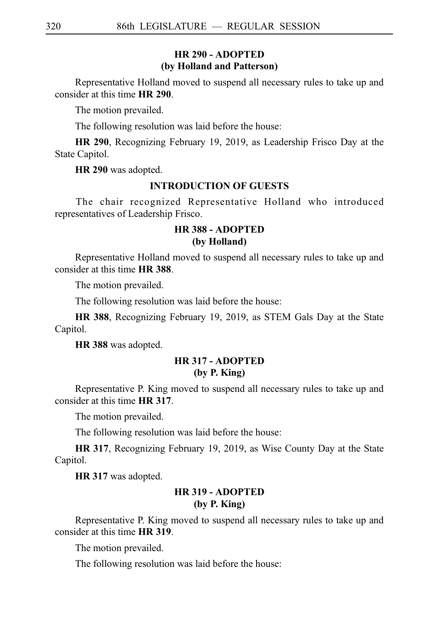## **HR 290 - ADOPTED (by Holland and Patterson)**

Representative Holland moved to suspend all necessary rules to take up and consider at this time **HR 290**.

The motion prevailed.

The following resolution was laid before the house:

**HR 290**, Recognizing February 19, 2019, as Leadership Frisco Day at the State Capitol.

**HR 290** was adopted.

#### **INTRODUCTION OF GUESTS**

The chair recognized Representative Holland who introduced representatives of Leadership Frisco.

## **HR 388 - ADOPTED (by Holland)**

Representative Holland moved to suspend all necessary rules to take up and consider at this time **HR** 388.

The motion prevailed.

The following resolution was laid before the house:

**HR 388**, Recognizing February 19, 2019, as STEM Gals Day at the State Capitol.

**HR 388** was adopted.

## **HR 317 - ADOPTED (by P. King)**

Representative P. King moved to suspend all necessary rules to take up and consider at this time **HR 317**.

The motion prevailed.

The following resolution was laid before the house:

**HR 317**, Recognizing February 19, 2019, as Wise County Day at the State Capitol.

**HR 317** was adopted.

# **HR 319 - ADOPTED (by P. King)**

Representative P. King moved to suspend all necessary rules to take up and consider at this time **HR 319**.

The motion prevailed.

The following resolution was laid before the house: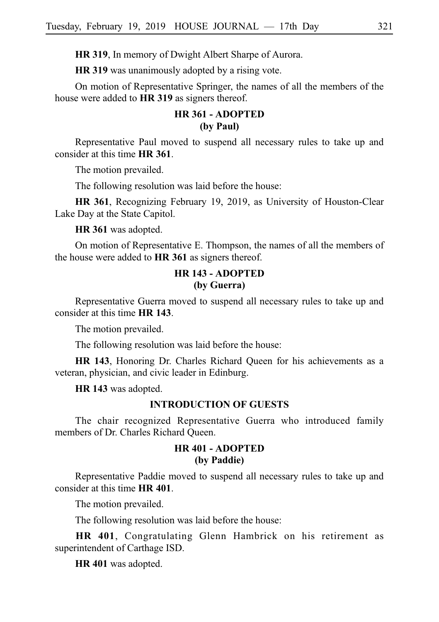**HR 319**, In memory of Dwight Albert Sharpe of Aurora.

**HR 319** was unanimously adopted by a rising vote.

On motion of Representative Springer, the names of all the members of the house were added to **HR 319** as signers thereof.

# **HR 361 - ADOPTED (by Paul)**

Representative Paul moved to suspend all necessary rules to take up and consider at this time **HR 361**.

The motion prevailed.

The following resolution was laid before the house:

**HR 361**, Recognizing February 19, 2019, as University of Houston-Clear Lake Day at the State Capitol.

**HR 361** was adopted.

On motion of Representative E. Thompson, the names of all the members of the house were added to **HR 361** as signers thereof.

# **HR 143 - ADOPTED (by Guerra)**

Representative Guerra moved to suspend all necessary rules to take up and consider at this time **HR 143**.

The motion prevailed.

The following resolution was laid before the house:

**HR 143**, Honoring Dr. Charles Richard Queen for his achievements as a veteran, physician, and civic leader in Edinburg.

**HR 143** was adopted.

## **INTRODUCTION OF GUESTS**

The chair recognized Representative Guerra who introduced family members of Dr. Charles Richard Queen.

## **HR 401 - ADOPTED (by Paddie)**

Representative Paddie moved to suspend all necessary rules to take up and consider at this time **HR 401**.

The motion prevailed.

The following resolution was laid before the house:

**HR 401**, Congratulating Glenn Hambrick on his retirement as superintendent of Carthage ISD.

**HR 401** was adopted.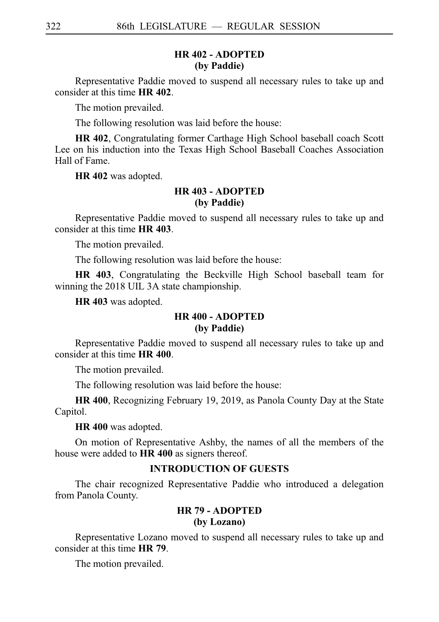## **HR 402 - ADOPTED (by Paddie)**

Representative Paddie moved to suspend all necessary rules to take up and consider at this time **HR 402**.

The motion prevailed.

The following resolution was laid before the house:

**HR 402**, Congratulating former Carthage High School baseball coach Scott Lee on his induction into the Texas High School Baseball Coaches Association Hall of Fame.

**HR 402** was adopted.

## **HR 403 - ADOPTED (by Paddie)**

Representative Paddie moved to suspend all necessary rules to take up and consider at this time **HR 403**.

The motion prevailed.

The following resolution was laid before the house:

**HR 403**, Congratulating the Beckville High School baseball team for winning the 2018 UIL 3A state championship.

**HR 403** was adopted.

## **HR 400 - ADOPTED (by Paddie)**

Representative Paddie moved to suspend all necessary rules to take up and consider at this time **HR 400**.

The motion prevailed.

The following resolution was laid before the house:

**HR 400**, Recognizing February 19, 2019, as Panola County Day at the State Capitol.

**HR 400** was adopted.

On motion of Representative Ashby, the names of all the members of the house were added to **HR 400** as signers thereof.

# **INTRODUCTION OF GUESTS**

The chair recognized Representative Paddie who introduced a delegation from Panola County.

# **HR 79 - ADOPTED (by Lozano)**

Representative Lozano moved to suspend all necessary rules to take up and consider at this time **HR** 79.

The motion prevailed.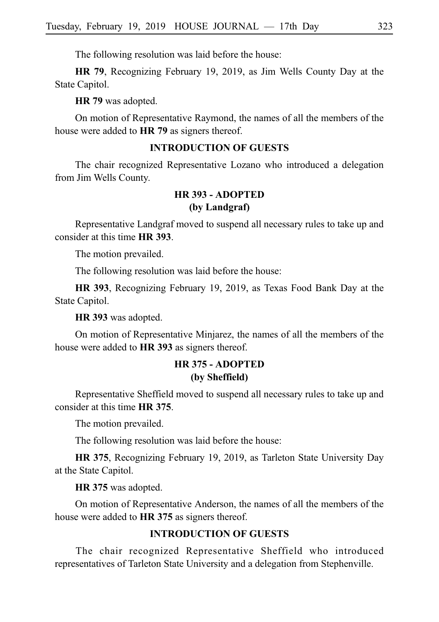The following resolution was laid before the house:

**HR 79**, Recognizing February 19, 2019, as Jim Wells County Day at the State Capitol.

**HR 79** was adopted.

On motion of Representative Raymond, the names of all the members of the house were added to **HR** 79 as signers thereof.

#### **INTRODUCTION OF GUESTS**

The chair recognized Representative Lozano who introduced a delegation from Jim Wells County.

# **HR 393 - ADOPTED (by Landgraf)**

Representative Landgraf moved to suspend all necessary rules to take up and consider at this time **HRi393**.

The motion prevailed.

The following resolution was laid before the house:

**HR 393**, Recognizing February 19, 2019, as Texas Food Bank Day at the State Capitol.

**HR 393** was adopted.

On motion of Representative Minjarez, the names of all the members of the house were added to **HR 393** as signers thereof.

# **HR 375 - ADOPTED (by Sheffield)**

Representative Sheffield moved to suspend all necessary rules to take up and consider at this time **HR** 375.

The motion prevailed.

The following resolution was laid before the house:

**HR 375**, Recognizing February 19, 2019, as Tarleton State University Day at the State Capitol.

**HR 375** was adopted.

On motion of Representative Anderson, the names of all the members of the house were added to **HR** 375 as signers thereof.

# **INTRODUCTION OF GUESTS**

The chair recognized Representative Sheffield who introduced representatives of Tarleton State University and a delegation from Stephenville.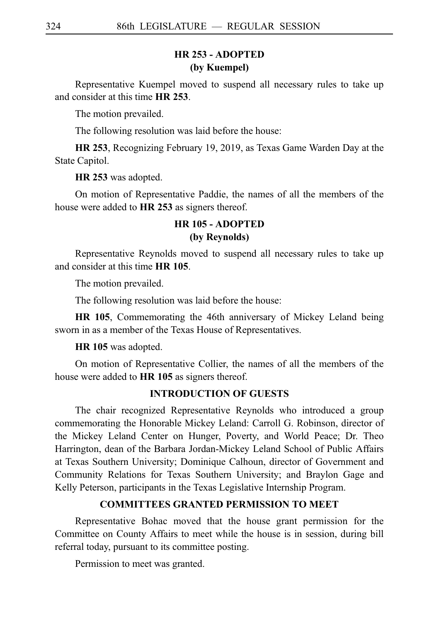# **HR 253 - ADOPTED (by Kuempel)**

Representative Kuempel moved to suspend all necessary rules to take up and consider at this time **HR 253**.

The motion prevailed.

The following resolution was laid before the house:

**HR 253**, Recognizing February 19, 2019, as Texas Game Warden Day at the State Capitol.

**HR 253** was adopted.

On motion of Representative Paddie, the names of all the members of the house were added to HR 253 as signers thereof.

# **HR 105 - ADOPTED (by Reynolds)**

Representative Reynolds moved to suspend all necessary rules to take up and consider at this time **HR 105**.

The motion prevailed.

The following resolution was laid before the house:

**HR 105**, Commemorating the 46th anniversary of Mickey Leland being sworn in as a member of the Texas House of Representatives.

**HR 105** was adopted.

On motion of Representative Collier, the names of all the members of the house were added to **HR 105** as signers thereof.

#### **INTRODUCTION OF GUESTS**

The chair recognized Representative Reynolds who introduced a group commemorating the Honorable Mickey Leland: Carroll G. Robinson, director of the Mickey Leland Center on Hunger, Poverty, and World Peace; Dr. Theo Harrington, dean of the Barbara Jordan-Mickey Leland School of Public Affairs at Texas Southern University; Dominique Calhoun, director of Government and Community Relations for Texas Southern University; and Braylon Gage and Kelly Peterson, participants in the Texas Legislative Internship Program.

## **COMMITTEES GRANTED PERMISSION TO MEET**

Representative Bohac moved that the house grant permission for the Committee on County Affairs to meet while the house is in session, during bill referral today, pursuant to its committee posting.

Permission to meet was granted.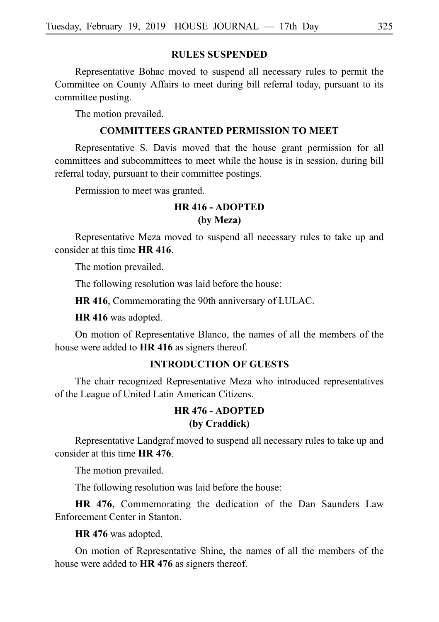#### **RULES SUSPENDED**

Representative Bohac moved to suspend all necessary rules to permit the Committee on County Affairs to meet during bill referral today, pursuant to its committee posting.

The motion prevailed.

## **COMMITTEES GRANTED PERMISSION TO MEET**

Representative S. Davis moved that the house grant permission for all committees and subcommittees to meet while the house is in session, during bill referral today, pursuant to their committee postings.

Permission to meet was granted.

# **HR 416 - ADOPTED (by Meza)**

Representative Meza moved to suspend all necessary rules to take up and consider at this time **HR 416**.

The motion prevailed.

The following resolution was laid before the house:

**HR 416**, Commemorating the 90th anniversary of LULAC.

**HR 416** was adopted.

On motion of Representative Blanco, the names of all the members of the house were added to **HR 416** as signers thereof.

## **INTRODUCTION OF GUESTS**

The chair recognized Representative Meza who introduced representatives of the League of United Latin American Citizens.

# **HR 476 - ADOPTED (by Craddick)**

Representative Landgraf moved to suspend all necessary rules to take up and consider at this time **HR 476**.

The motion prevailed.

The following resolution was laid before the house:

**HR 476**, Commemorating the dedication of the Dan Saunders Law Enforcement Center in Stanton.

**HR 476** was adopted.

On motion of Representative Shine, the names of all the members of the house were added to **HR 476** as signers thereof.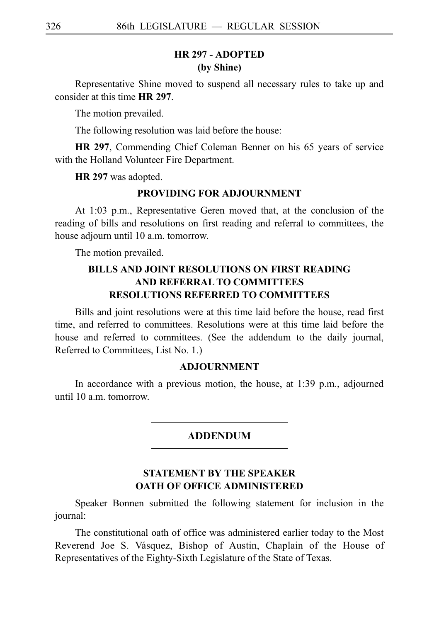# **HR 297 - ADOPTED (by Shine)**

Representative Shine moved to suspend all necessary rules to take up and consider at this time **HR 297**.

The motion prevailed.

The following resolution was laid before the house:

**HR 297**, Commending Chief Coleman Benner on his 65 years of service with the Holland Volunteer Fire Department.

**HR 297** was adopted.

#### **PROVIDING FOR ADJOURNMENT**

At 1:03 p.m., Representative Geren moved that, at the conclusion of the reading of bills and resolutions on first reading and referral to committees, the house adjourn until 10 a.m. tomorrow.

The motion prevailed.

# **BILLS AND JOINT RESOLUTIONS ON FIRST READING AND REFERRAL TO COMMITTEES RESOLUTIONS REFERRED TO COMMITTEES**

Bills and joint resolutions were at this time laid before the house, read first time, and referred to committees. Resolutions were at this time laid before the house and referred to committees. (See the addendum to the daily journal, Referred to Committees, List No. 1.)

#### **ADJOURNMENT**

In accordance with a previous motion, the house, at 1:39 p.m., adjourned until 10 a.m. tomorrow.

#### ADDENDUM

# **STATEMENT BY THE SPEAKER OATH OF OFFICE ADMINISTERED**

Speaker Bonnen submitted the following statement for inclusion in the journal:

The constitutional oath of office was administered earlier today to the Most Reverend Joe S. Vásquez, Bishop of Austin, Chaplain of the House of Representatives of the Eighty-Sixth Legislature of the State of Texas.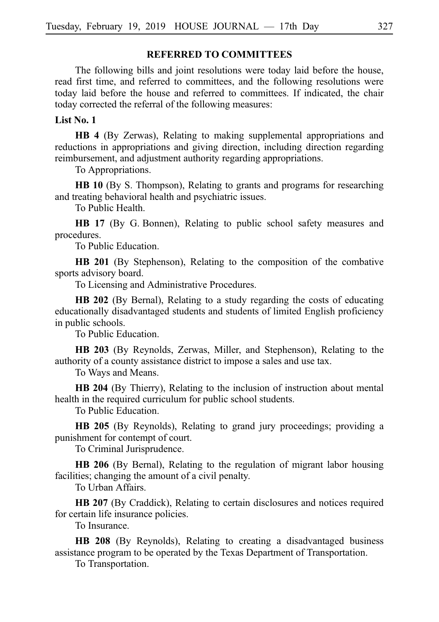## **REFERRED TO COMMITTEES**

The following bills and joint resolutions were today laid before the house, read first time, and referred to committees, and the following resolutions were today laid before the house and referred to committees. If indicated, the chair today corrected the referral of the following measures:

#### **List No. 1**

**HB 4** (By Zerwas), Relating to making supplemental appropriations and reductions in appropriations and giving direction, including direction regarding reimbursement, and adjustment authority regarding appropriations.

To Appropriations.

**HB 10** (By S. Thompson), Relating to grants and programs for researching and treating behavioral health and psychiatric issues.

To Public Health.

**HB 17** (By G. Bonnen), Relating to public school safety measures and procedures.

To Public Education.

**HB 201** (By Stephenson), Relating to the composition of the combative sports advisory board.

To Licensing and Administrative Procedures.

**HB 202** (By Bernal), Relating to a study regarding the costs of educating educationally disadvantaged students and students of limited English proficiency in public schools.

To Public Education.

**HB 203** (By Reynolds, Zerwas, Miller, and Stephenson), Relating to the authority of a county assistance district to impose a sales and use tax.

To Ways and Means.

**HB 204** (By Thierry), Relating to the inclusion of instruction about mental health in the required curriculum for public school students.

To Public Education.

**HB 205** (By Reynolds), Relating to grand jury proceedings; providing a punishment for contempt of court.

To Criminal Jurisprudence.

**HB 206** (By Bernal), Relating to the regulation of migrant labor housing facilities; changing the amount of a civil penalty.

To Urban Affairs.

**HB 207** (By Craddick), Relating to certain disclosures and notices required for certain life insurance policies.

To Insurance.

**HB 208** (By Reynolds), Relating to creating a disadvantaged business assistance program to be operated by the Texas Department of Transportation.

To Transportation.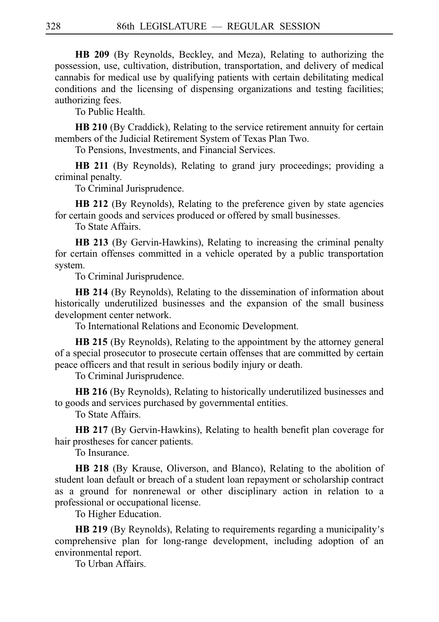**HB 209** (By Reynolds, Beckley, and Meza), Relating to authorizing the possession, use, cultivation, distribution, transportation, and delivery of medical cannabis for medical use by qualifying patients with certain debilitating medical conditions and the licensing of dispensing organizations and testing facilities; authorizing fees.

To Public Health.

**HB 210** (By Craddick), Relating to the service retirement annuity for certain members of the Judicial Retirement System of Texas Plan Two.

To Pensions, Investments, and Financial Services.

**HB 211** (By Reynolds), Relating to grand jury proceedings; providing a criminal penalty.

To Criminal Jurisprudence.

**HB 212** (By Reynolds), Relating to the preference given by state agencies for certain goods and services produced or offered by small businesses.

To State Affairs.

**HB 213** (By Gervin-Hawkins), Relating to increasing the criminal penalty for certain offenses committed in a vehicle operated by a public transportation system.

To Criminal Jurisprudence.

**HB 214** (By Reynolds), Relating to the dissemination of information about historically underutilized businesses and the expansion of the small business development center network.

To International Relations and Economic Development.

**HB 215** (By Reynolds), Relating to the appointment by the attorney general of a special prosecutor to prosecute certain offenses that are committed by certain peace officers and that result in serious bodily injury or death.

To Criminal Jurisprudence.

**HB 216** (By Reynolds), Relating to historically underutilized businesses and to goods and services purchased by governmental entities.

To State Affairs.

**HB 217** (By Gervin-Hawkins), Relating to health benefit plan coverage for hair prostheses for cancer patients.

To Insurance.

**HB 218** (By Krause, Oliverson, and Blanco), Relating to the abolition of student loan default or breach of a student loan repayment or scholarship contract as a ground for nonrenewal or other disciplinary action in relation to a professional or occupational license.

To Higher Education.

HB 219 (By Reynolds), Relating to requirements regarding a municipality's comprehensive plan for long-range development, including adoption of an environmental report.

To Urban Affairs.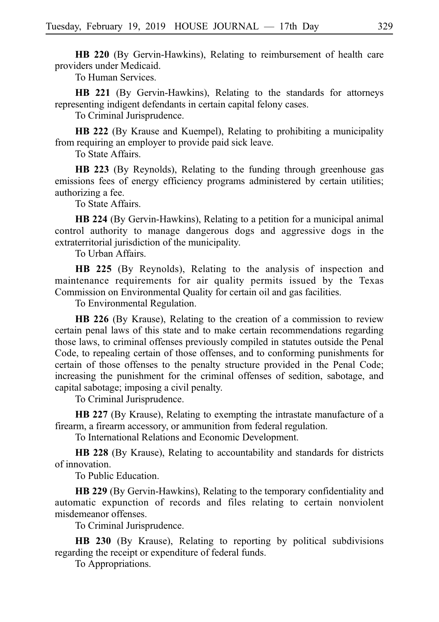**HB 220** (By Gervin-Hawkins), Relating to reimbursement of health care providers under Medicaid.

To Human Services.

**HB 221** (By Gervin-Hawkins), Relating to the standards for attorneys representing indigent defendants in certain capital felony cases.

To Criminal Jurisprudence.

**HB 222** (By Krause and Kuempel), Relating to prohibiting a municipality from requiring an employer to provide paid sick leave.

To State Affairs.

**HB 223** (By Reynolds), Relating to the funding through greenhouse gas emissions fees of energy efficiency programs administered by certain utilities; authorizing a fee.

To State Affairs.

**HB 224** (By Gervin-Hawkins), Relating to a petition for a municipal animal control authority to manage dangerous dogs and aggressive dogs in the extraterritorial jurisdiction of the municipality.

To Urban Affairs.

**HB 225** (By Reynolds), Relating to the analysis of inspection and maintenance requirements for air quality permits issued by the Texas Commission on Environmental Quality for certain oil and gas facilities.

To Environmental Regulation.

**HB 226** (By Krause), Relating to the creation of a commission to review certain penal laws of this state and to make certain recommendations regarding those laws, to criminal offenses previously compiled in statutes outside the Penal Code, to repealing certain of those offenses, and to conforming punishments for certain of those offenses to the penalty structure provided in the Penal Code; increasing the punishment for the criminal offenses of sedition, sabotage, and capital sabotage; imposing a civil penalty.

To Criminal Jurisprudence.

**HB 227** (By Krause), Relating to exempting the intrastate manufacture of a firearm, a firearm accessory, or ammunition from federal regulation.

To International Relations and Economic Development.

**HB 228** (By Krause), Relating to accountability and standards for districts of innovation.

To Public Education.

**HB 229** (By Gervin-Hawkins), Relating to the temporary confidentiality and automatic expunction of records and files relating to certain nonviolent misdemeanor offenses.

To Criminal Jurisprudence.

**HB 230** (By Krause), Relating to reporting by political subdivisions regarding the receipt or expenditure of federal funds.

To Appropriations.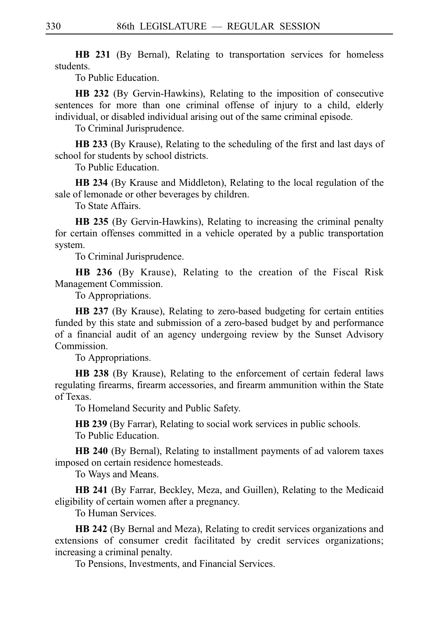**HB 231** (By Bernal), Relating to transportation services for homeless students.

To Public Education.

**HB 232** (By Gervin-Hawkins), Relating to the imposition of consecutive sentences for more than one criminal offense of injury to a child, elderly individual, or disabled individual arising out of the same criminal episode.

To Criminal Jurisprudence.

**HB 233** (By Krause), Relating to the scheduling of the first and last days of school for students by school districts.

To Public Education.

**HB 234** (By Krause and Middleton), Relating to the local regulation of the sale of lemonade or other beverages by children.

To State Affairs.

**HB 235** (By Gervin-Hawkins), Relating to increasing the criminal penalty for certain offenses committed in a vehicle operated by a public transportation system.

To Criminal Jurisprudence.

**HB 236** (By Krause), Relating to the creation of the Fiscal Risk Management Commission.

To Appropriations.

**HB 237** (By Krause), Relating to zero-based budgeting for certain entities funded by this state and submission of a zero-based budget by and performance of a financial audit of an agency undergoing review by the Sunset Advisory Commission.

To Appropriations.

**HB 238** (By Krause), Relating to the enforcement of certain federal laws regulating firearms, firearm accessories, and firearm ammunition within the State of Texas.

To Homeland Security and Public Safety.

**HB 239** (By Farrar), Relating to social work services in public schools.

To Public Education.

**HB 240** (By Bernal), Relating to installment payments of ad valorem taxes imposed on certain residence homesteads.

To Ways and Means.

**HB 241** (By Farrar, Beckley, Meza, and Guillen), Relating to the Medicaid eligibility of certain women after a pregnancy.

To Human Services.

**HB 242** (By Bernal and Meza), Relating to credit services organizations and extensions of consumer credit facilitated by credit services organizations; increasing a criminal penalty.

To Pensions, Investments, and Financial Services.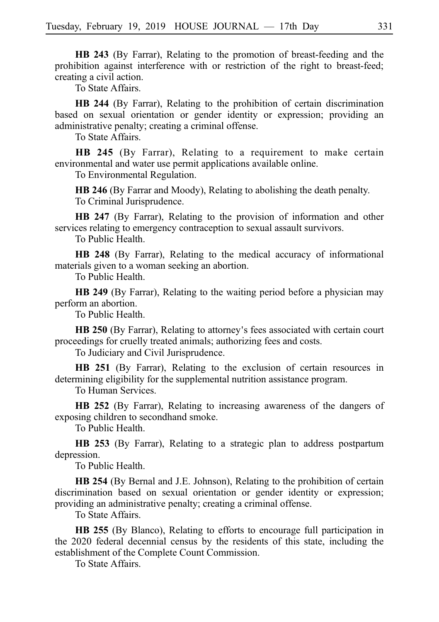**HB 243** (By Farrar), Relating to the promotion of breast-feeding and the prohibition against interference with or restriction of the right to breast-feed; creating a civil action.

To State Affairs.

**HB 244** (By Farrar), Relating to the prohibition of certain discrimination based on sexual orientation or gender identity or expression; providing an administrative penalty; creating a criminal offense.

To State Affairs.

**HB 245** (By Farrar), Relating to a requirement to make certain environmental and water use permit applications available online.

To Environmental Regulation.

**HB 246** (By Farrar and Moody), Relating to abolishing the death penalty. To Criminal Jurisprudence.

**HB 247** (By Farrar), Relating to the provision of information and other services relating to emergency contraception to sexual assault survivors.

To Public Health.

**HB 248** (By Farrar), Relating to the medical accuracy of informational materials given to a woman seeking an abortion.

To Public Health.

**HB 249** (By Farrar), Relating to the waiting period before a physician may perform an abortion.

To Public Health.

**HB 250** (By Farrar), Relating to attorney's fees associated with certain court proceedings for cruelly treated animals; authorizing fees and costs.

To Judiciary and Civil Jurisprudence.

**HB 251** (By Farrar), Relating to the exclusion of certain resources in determining eligibility for the supplemental nutrition assistance program.

To Human Services.

**HB 252** (By Farrar), Relating to increasing awareness of the dangers of exposing children to secondhand smoke.

To Public Health.

**HB 253** (By Farrar), Relating to a strategic plan to address postpartum depression.

To Public Health.

**HB 254** (By Bernal and J.E. Johnson), Relating to the prohibition of certain discrimination based on sexual orientation or gender identity or expression; providing an administrative penalty; creating a criminal offense.

To State Affairs.

**HB 255** (By Blanco), Relating to efforts to encourage full participation in the 2020 federal decennial census by the residents of this state, including the establishment of the Complete Count Commission.

To State Affairs.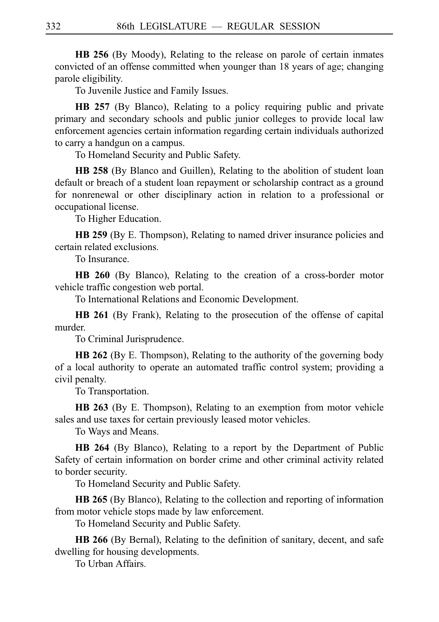**HB 256** (By Moody), Relating to the release on parole of certain inmates convicted of an offense committed when younger than 18 years of age; changing parole eligibility.

To Juvenile Justice and Family Issues.

**HB 257** (By Blanco), Relating to a policy requiring public and private primary and secondary schools and public junior colleges to provide local law enforcement agencies certain information regarding certain individuals authorized to carry a handgun on a campus.

To Homeland Security and Public Safety.

**HB 258** (By Blanco and Guillen), Relating to the abolition of student loan default or breach of a student loan repayment or scholarship contract as a ground for nonrenewal or other disciplinary action in relation to a professional or occupational license.

To Higher Education.

**HB 259** (By E. Thompson), Relating to named driver insurance policies and certain related exclusions.

To Insurance.

**HB 260** (By Blanco), Relating to the creation of a cross-border motor vehicle traffic congestion web portal.

To International Relations and Economic Development.

**HB 261** (By Frank), Relating to the prosecution of the offense of capital murder.

To Criminal Jurisprudence.

**HB 262** (By E. Thompson), Relating to the authority of the governing body of a local authority to operate an automated traffic control system; providing a civil penalty.

To Transportation.

**HB 263** (By E. Thompson), Relating to an exemption from motor vehicle sales and use taxes for certain previously leased motor vehicles.

To Ways and Means.

**HB 264** (By Blanco), Relating to a report by the Department of Public Safety of certain information on border crime and other criminal activity related to border security.

To Homeland Security and Public Safety.

**HB 265** (By Blanco), Relating to the collection and reporting of information from motor vehicle stops made by law enforcement.

To Homeland Security and Public Safety.

**HB 266** (By Bernal), Relating to the definition of sanitary, decent, and safe dwelling for housing developments.

To Urban Affairs.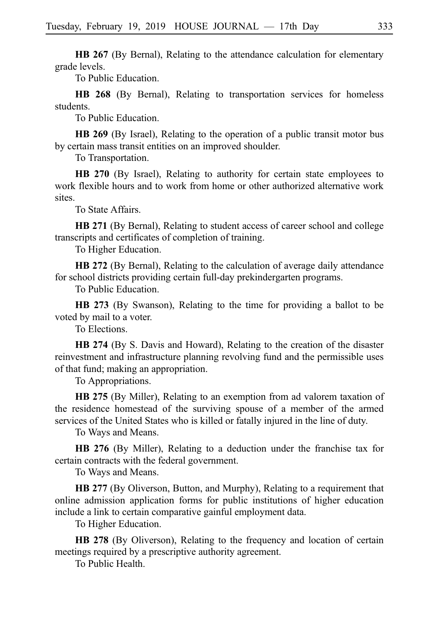**HB 267** (By Bernal), Relating to the attendance calculation for elementary grade levels.

To Public Education.

**HB 268** (By Bernal), Relating to transportation services for homeless students.

To Public Education.

**HB 269** (By Israel), Relating to the operation of a public transit motor bus by certain mass transit entities on an improved shoulder.

To Transportation.

**HB 270** (By Israel), Relating to authority for certain state employees to work flexible hours and to work from home or other authorized alternative work sites.

To State Affairs.

**HB 271** (By Bernal), Relating to student access of career school and college transcripts and certificates of completion of training.

To Higher Education.

**HB 272** (By Bernal), Relating to the calculation of average daily attendance for school districts providing certain full-day prekindergarten programs.

To Public Education.

**HB 273** (By Swanson), Relating to the time for providing a ballot to be voted by mail to a voter.

To Elections.

**HB 274** (By S. Davis and Howard), Relating to the creation of the disaster reinvestment and infrastructure planning revolving fund and the permissible uses of that fund; making an appropriation.

To Appropriations.

**HB 275** (By Miller), Relating to an exemption from ad valorem taxation of the residence homestead of the surviving spouse of a member of the armed services of the United States who is killed or fatally injured in the line of duty.

To Ways and Means.

**HB 276** (By Miller), Relating to a deduction under the franchise tax for certain contracts with the federal government.

To Ways and Means.

**HB 277** (By Oliverson, Button, and Murphy), Relating to a requirement that online admission application forms for public institutions of higher education include a link to certain comparative gainful employment data.

To Higher Education.

**HB 278** (By Oliverson), Relating to the frequency and location of certain meetings required by a prescriptive authority agreement.

To Public Health.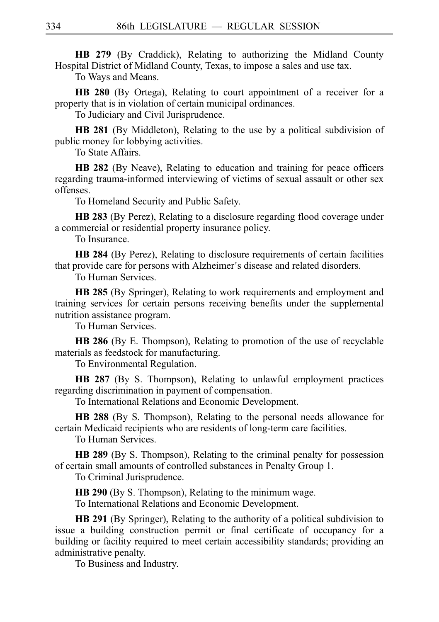**HB 279** (By Craddick), Relating to authorizing the Midland County Hospital District of Midland County, Texas, to impose a sales and use tax.

To Ways and Means.

**HB 280** (By Ortega), Relating to court appointment of a receiver for a property that is in violation of certain municipal ordinances.

To Judiciary and Civil Jurisprudence.

**HB 281** (By Middleton), Relating to the use by a political subdivision of public money for lobbying activities.

To State Affairs.

**HB 282** (By Neave), Relating to education and training for peace officers regarding trauma-informed interviewing of victims of sexual assault or other sex offenses.

To Homeland Security and Public Safety.

**HB 283** (By Perez), Relating to a disclosure regarding flood coverage under a commercial or residential property insurance policy.

To Insurance.

**HB 284** (By Perez), Relating to disclosure requirements of certain facilities that provide care for persons with Alzheimer's disease and related disorders.

To Human Services.

**HB 285** (By Springer), Relating to work requirements and employment and training services for certain persons receiving benefits under the supplemental nutrition assistance program.

To Human Services.

**HB 286** (By E. Thompson), Relating to promotion of the use of recyclable materials as feedstock for manufacturing.

To Environmental Regulation.

**HB 287** (By S. Thompson), Relating to unlawful employment practices regarding discrimination in payment of compensation.

To International Relations and Economic Development.

**HB 288** (By S. Thompson), Relating to the personal needs allowance for certain Medicaid recipients who are residents of long-term care facilities.

To Human Services.

**HB 289** (By S. Thompson), Relating to the criminal penalty for possession of certain small amounts of controlled substances in Penalty Group 1.

To Criminal Jurisprudence.

**HB 290** (By S. Thompson), Relating to the minimum wage.

To International Relations and Economic Development.

**HB 291** (By Springer), Relating to the authority of a political subdivision to issue a building construction permit or final certificate of occupancy for a building or facility required to meet certain accessibility standards; providing an administrative penalty.

To Business and Industry.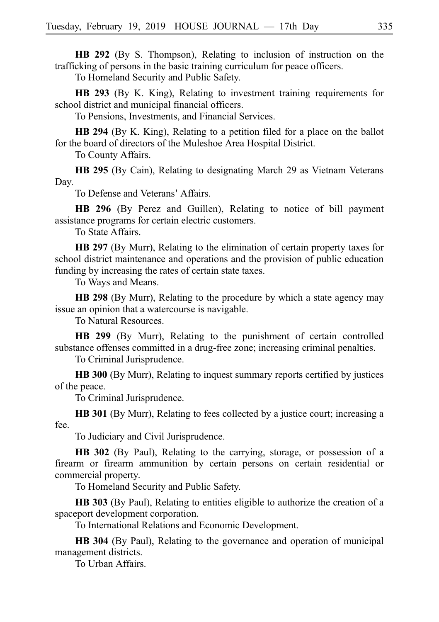**HB 292** (By S. Thompson), Relating to inclusion of instruction on the trafficking of persons in the basic training curriculum for peace officers.

To Homeland Security and Public Safety.

**HB 293** (By K. King), Relating to investment training requirements for school district and municipal financial officers.

To Pensions, Investments, and Financial Services.

**HB 294** (By K. King), Relating to a petition filed for a place on the ballot for the board of directors of the Muleshoe Area Hospital District.

To County Affairs.

**HB 295** (By Cain), Relating to designating March 29 as Vietnam Veterans Day.

To Defense and Veterans' Affairs.

**HB 296** (By Perez and Guillen), Relating to notice of bill payment assistance programs for certain electric customers.

To State Affairs.

**HB 297** (By Murr), Relating to the elimination of certain property taxes for school district maintenance and operations and the provision of public education funding by increasing the rates of certain state taxes.

To Ways and Means.

**HB 298** (By Murr), Relating to the procedure by which a state agency may issue an opinion that a watercourse is navigable.

To Natural Resources.

**HB 299** (By Murr), Relating to the punishment of certain controlled substance offenses committed in a drug-free zone; increasing criminal penalties.

To Criminal Jurisprudence.

**HB 300** (By Murr), Relating to inquest summary reports certified by justices of the peace.

To Criminal Jurisprudence.

**HB 301** (By Murr), Relating to fees collected by a justice court; increasing a fee.

To Judiciary and Civil Jurisprudence.

**HB 302** (By Paul), Relating to the carrying, storage, or possession of a firearm or firearm ammunition by certain persons on certain residential or commercial property.

To Homeland Security and Public Safety.

**HB 303** (By Paul), Relating to entities eligible to authorize the creation of a spaceport development corporation.

To International Relations and Economic Development.

**HB 304** (By Paul), Relating to the governance and operation of municipal management districts.

To Urban Affairs.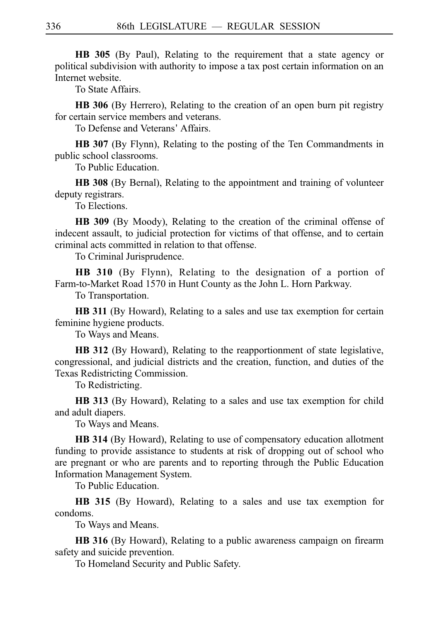**HB 305** (By Paul), Relating to the requirement that a state agency or political subdivision with authority to impose a tax post certain information on an Internet website.

To State Affairs.

**HB 306** (By Herrero), Relating to the creation of an open burn pit registry for certain service members and veterans.

To Defense and Veterans' Affairs.

**HB 307** (By Flynn), Relating to the posting of the Ten Commandments in public school classrooms.

To Public Education.

**HB 308** (By Bernal), Relating to the appointment and training of volunteer deputy registrars.

To Elections.

**HB 309** (By Moody), Relating to the creation of the criminal offense of indecent assault, to judicial protection for victims of that offense, and to certain criminal acts committed in relation to that offense.

To Criminal Jurisprudence.

**HB 310** (By Flynn), Relating to the designation of a portion of Farm-to-Market Road 1570 in Hunt County as the John L. Horn Parkway.

To Transportation.

**HB 311** (By Howard), Relating to a sales and use tax exemption for certain feminine hygiene products.

To Ways and Means.

**HB 312** (By Howard), Relating to the reapportionment of state legislative, congressional, and judicial districts and the creation, function, and duties of the Texas Redistricting Commission.

To Redistricting.

**HB 313** (By Howard), Relating to a sales and use tax exemption for child and adult diapers.

To Ways and Means.

**HB 314** (By Howard), Relating to use of compensatory education allotment funding to provide assistance to students at risk of dropping out of school who are pregnant or who are parents and to reporting through the Public Education Information Management System.

To Public Education.

**HB 315** (By Howard), Relating to a sales and use tax exemption for condoms.

To Ways and Means.

**HB 316** (By Howard), Relating to a public awareness campaign on firearm safety and suicide prevention.

To Homeland Security and Public Safety.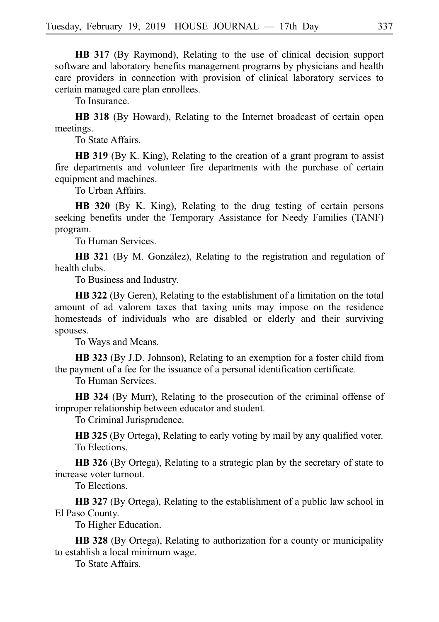**HB 317** (By Raymond), Relating to the use of clinical decision support software and laboratory benefits management programs by physicians and health care providers in connection with provision of clinical laboratory services to certain managed care plan enrollees.

To Insurance.

**HB 318** (By Howard), Relating to the Internet broadcast of certain open meetings.

To State Affairs.

**HB 319** (By K. King), Relating to the creation of a grant program to assist fire departments and volunteer fire departments with the purchase of certain equipment and machines.

To Urban Affairs.

**HB 320** (By K. King), Relating to the drug testing of certain persons seeking benefits under the Temporary Assistance for Needy Families (TANF) program.

To Human Services.

**HB 321** (By M. González), Relating to the registration and regulation of health clubs.

To Business and Industry.

**HB 322** (By Geren), Relating to the establishment of a limitation on the total amount of ad valorem taxes that taxing units may impose on the residence homesteads of individuals who are disabled or elderly and their surviving spouses.

To Ways and Means.

**HB 323** (By J.D. Johnson), Relating to an exemption for a foster child from the payment of a fee for the issuance of a personal identification certificate.

To Human Services.

**HB 324** (By Murr), Relating to the prosecution of the criminal offense of improper relationship between educator and student.

To Criminal Jurisprudence.

**HB 325** (By Ortega), Relating to early voting by mail by any qualified voter. To Elections.

**HB 326** (By Ortega), Relating to a strategic plan by the secretary of state to increase voter turnout.

To Elections.

**HB 327** (By Ortega), Relating to the establishment of a public law school in El Paso County.

To Higher Education.

**HB 328** (By Ortega), Relating to authorization for a county or municipality to establish a local minimum wage.

To State Affairs.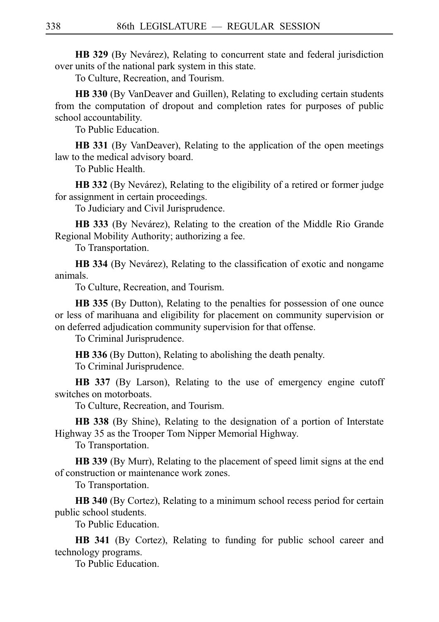**HB 329** (By Nevárez), Relating to concurrent state and federal jurisdiction over units of the national park system in this state.

To Culture, Recreation, and Tourism.

**HB 330** (By VanDeaver and Guillen), Relating to excluding certain students from the computation of dropout and completion rates for purposes of public school accountability.

To Public Education.

**HB 331** (By VanDeaver), Relating to the application of the open meetings law to the medical advisory board.

To Public Health.

**HB 332** (By Nevárez), Relating to the eligibility of a retired or former judge for assignment in certain proceedings.

To Judiciary and Civil Jurisprudence.

**HB 333** (By Nevárez), Relating to the creation of the Middle Rio Grande Regional Mobility Authority; authorizing a fee.

To Transportation.

**HB 334** (By Nevárez), Relating to the classification of exotic and nongame animals.

To Culture, Recreation, and Tourism.

**HB 335** (By Dutton), Relating to the penalties for possession of one ounce or less of marihuana and eligibility for placement on community supervision or on deferred adjudication community supervision for that offense.

To Criminal Jurisprudence.

**HB 336** (By Dutton), Relating to abolishing the death penalty.

To Criminal Jurisprudence.

**HB 337** (By Larson), Relating to the use of emergency engine cutoff switches on motorboats.

To Culture, Recreation, and Tourism.

**HB 338** (By Shine), Relating to the designation of a portion of Interstate Highway 35 as the Trooper Tom Nipper Memorial Highway.

To Transportation.

**HB 339** (By Murr), Relating to the placement of speed limit signs at the end of construction or maintenance work zones.

To Transportation.

**HB 340** (By Cortez), Relating to a minimum school recess period for certain public school students.

To Public Education.

**HB 341** (By Cortez), Relating to funding for public school career and technology programs.

To Public Education.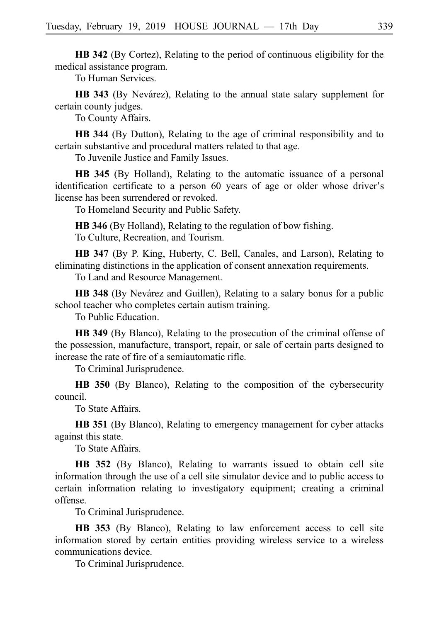**HB 342** (By Cortez), Relating to the period of continuous eligibility for the medical assistance program.

To Human Services.

**HB 343** (By Nevárez), Relating to the annual state salary supplement for certain county judges.

To County Affairs.

**HB 344** (By Dutton), Relating to the age of criminal responsibility and to certain substantive and procedural matters related to that age.

To Juvenile Justice and Family Issues.

**HB 345** (By Holland), Relating to the automatic issuance of a personal identification certificate to a person 60 years of age or older whose driver's license has been surrendered or revoked.

To Homeland Security and Public Safety.

**HB 346** (By Holland), Relating to the regulation of bow fishing. To Culture, Recreation, and Tourism.

**HB 347** (By P. King, Huberty, C. Bell, Canales, and Larson), Relating to eliminating distinctions in the application of consent annexation requirements.

To Land and Resource Management.

**HB 348** (By Nevárez and Guillen), Relating to a salary bonus for a public school teacher who completes certain autism training.

To Public Education.

**HB 349** (By Blanco), Relating to the prosecution of the criminal offense of the possession, manufacture, transport, repair, or sale of certain parts designed to increase the rate of fire of a semiautomatic rifle.

To Criminal Jurisprudence.

**HB 350** (By Blanco), Relating to the composition of the cybersecurity council.

To State Affairs.

**HB 351** (By Blanco), Relating to emergency management for cyber attacks against this state.

To State Affairs.

**HB 352** (By Blanco), Relating to warrants issued to obtain cell site information through the use of a cell site simulator device and to public access to certain information relating to investigatory equipment; creating a criminal offense.

To Criminal Jurisprudence.

**HB 353** (By Blanco), Relating to law enforcement access to cell site information stored by certain entities providing wireless service to a wireless communications device.

To Criminal Jurisprudence.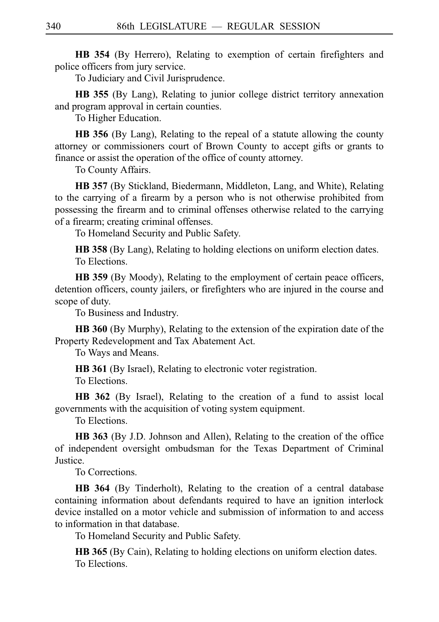**HB 354** (By Herrero), Relating to exemption of certain firefighters and police officers from jury service.

To Judiciary and Civil Jurisprudence.

**HB 355** (By Lang), Relating to junior college district territory annexation and program approval in certain counties.

To Higher Education.

**HB 356** (By Lang), Relating to the repeal of a statute allowing the county attorney or commissioners court of Brown County to accept gifts or grants to finance or assist the operation of the office of county attorney.

To County Affairs.

**HB 357** (By Stickland, Biedermann, Middleton, Lang, and White), Relating to the carrying of a firearm by a person who is not otherwise prohibited from possessing the firearm and to criminal offenses otherwise related to the carrying of a firearm; creating criminal offenses.

To Homeland Security and Public Safety.

**HB 358** (By Lang), Relating to holding elections on uniform election dates. To Elections.

**HB 359** (By Moody), Relating to the employment of certain peace officers, detention officers, county jailers, or firefighters who are injured in the course and scope of duty.

To Business and Industry.

**HB 360** (By Murphy), Relating to the extension of the expiration date of the Property Redevelopment and Tax Abatement Act.

To Ways and Means.

**HB 361** (By Israel), Relating to electronic voter registration.

To Elections.

**HB 362** (By Israel), Relating to the creation of a fund to assist local governments with the acquisition of voting system equipment.

To Elections.

**HB 363** (By J.D. Johnson and Allen), Relating to the creation of the office of independent oversight ombudsman for the Texas Department of Criminal Justice.

To Corrections.

**HB 364** (By Tinderholt), Relating to the creation of a central database containing information about defendants required to have an ignition interlock device installed on a motor vehicle and submission of information to and access to information in that database.

To Homeland Security and Public Safety.

**HB 365** (By Cain), Relating to holding elections on uniform election dates. To Elections.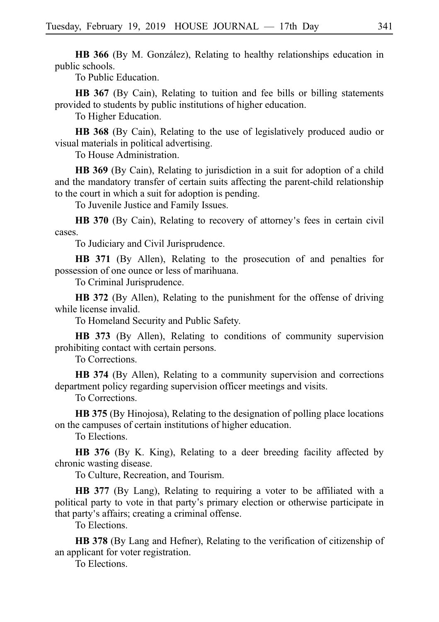**HB 366** (By M. González), Relating to healthy relationships education in public schools.

To Public Education.

**HB 367** (By Cain), Relating to tuition and fee bills or billing statements provided to students by public institutions of higher education.

To Higher Education.

**HB 368** (By Cain), Relating to the use of legislatively produced audio or visual materials in political advertising.

To House Administration.

**HB 369** (By Cain), Relating to jurisdiction in a suit for adoption of a child and the mandatory transfer of certain suits affecting the parent-child relationship to the court in which a suit for adoption is pending.

To Juvenile Justice and Family Issues.

**HB 370** (By Cain), Relating to recovery of attorney's fees in certain civil cases.

To Judiciary and Civil Jurisprudence.

**HB 371** (By Allen), Relating to the prosecution of and penalties for possession of one ounce or less of marihuana.

To Criminal Jurisprudence.

**HB 372** (By Allen), Relating to the punishment for the offense of driving while license invalid.

To Homeland Security and Public Safety.

**HB 373** (By Allen), Relating to conditions of community supervision prohibiting contact with certain persons.

To Corrections.

**HB 374** (By Allen), Relating to a community supervision and corrections department policy regarding supervision officer meetings and visits.

To Corrections.

**HB 375** (By Hinojosa), Relating to the designation of polling place locations on the campuses of certain institutions of higher education.

To Elections.

**HB 376** (By K. King), Relating to a deer breeding facility affected by chronic wasting disease.

To Culture, Recreation, and Tourism.

**HB 377** (By Lang), Relating to requiring a voter to be affiliated with a political party to vote in that party's primary election or otherwise participate in that party's affairs; creating a criminal offense.

To Elections.

**HB 378** (By Lang and Hefner), Relating to the verification of citizenship of an applicant for voter registration.

To Elections.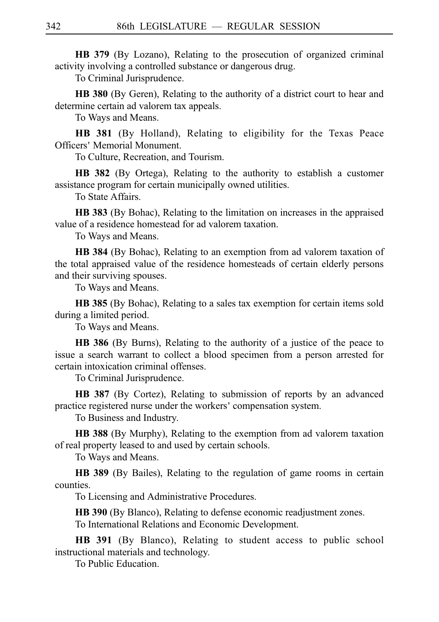**HB 379** (By Lozano), Relating to the prosecution of organized criminal activity involving a controlled substance or dangerous drug.

To Criminal Jurisprudence.

**HB 380** (By Geren), Relating to the authority of a district court to hear and determine certain ad valorem tax appeals.

To Ways and Means.

**HB 381** (By Holland), Relating to eligibility for the Texas Peace Officers' Memorial Monument.

To Culture, Recreation, and Tourism.

**HB 382** (By Ortega), Relating to the authority to establish a customer assistance program for certain municipally owned utilities.

To State Affairs.

**HB 383** (By Bohac), Relating to the limitation on increases in the appraised value of a residence homestead for ad valorem taxation.

To Ways and Means.

**HB 384** (By Bohac), Relating to an exemption from ad valorem taxation of the total appraised value of the residence homesteads of certain elderly persons and their surviving spouses.

To Ways and Means.

**HB 385** (By Bohac), Relating to a sales tax exemption for certain items sold during a limited period.

To Ways and Means.

**HB 386** (By Burns), Relating to the authority of a justice of the peace to issue a search warrant to collect a blood specimen from a person arrested for certain intoxication criminal offenses.

To Criminal Jurisprudence.

**HB 387** (By Cortez), Relating to submission of reports by an advanced practice registered nurse under the workers 'compensation system.

To Business and Industry.

**HB 388** (By Murphy), Relating to the exemption from ad valorem taxation of real property leased to and used by certain schools.

To Ways and Means.

**HB 389** (By Bailes), Relating to the regulation of game rooms in certain counties.

To Licensing and Administrative Procedures.

**HB 390** (By Blanco), Relating to defense economic readjustment zones. To International Relations and Economic Development.

**HB 391** (By Blanco), Relating to student access to public school instructional materials and technology.

To Public Education.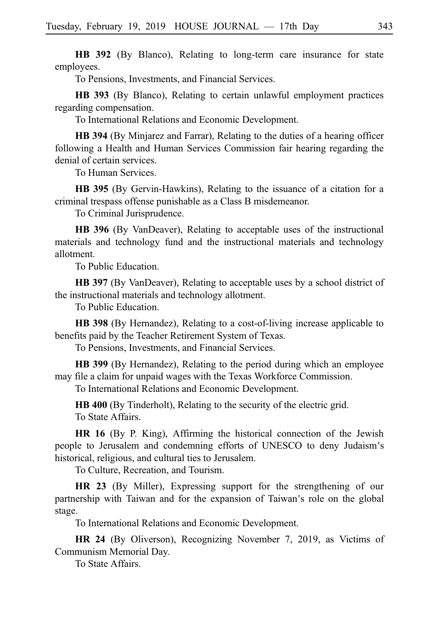**HB 392** (By Blanco), Relating to long-term care insurance for state employees.

To Pensions, Investments, and Financial Services.

**HB 393** (By Blanco), Relating to certain unlawful employment practices regarding compensation.

To International Relations and Economic Development.

**HB 394** (By Minjarez and Farrar), Relating to the duties of a hearing officer following a Health and Human Services Commission fair hearing regarding the denial of certain services.

To Human Services.

**HB 395** (By Gervin-Hawkins), Relating to the issuance of a citation for a criminal trespass offense punishable as a Class B misdemeanor.

To Criminal Jurisprudence.

**HB 396** (By VanDeaver), Relating to acceptable uses of the instructional materials and technology fund and the instructional materials and technology allotment.

To Public Education.

**HB 397** (By VanDeaver), Relating to acceptable uses by a school district of the instructional materials and technology allotment.

To Public Education.

**HB 398** (By Hernandez), Relating to a cost-of-living increase applicable to benefits paid by the Teacher Retirement System of Texas.

To Pensions, Investments, and Financial Services.

**HB 399** (By Hernandez), Relating to the period during which an employee may file a claim for unpaid wages with the Texas Workforce Commission.

To International Relations and Economic Development.

**HB 400** (By Tinderholt), Relating to the security of the electric grid. To State Affairs.

**HR 16** (By P. King), Affirming the historical connection of the Jewish people to Jerusalem and condemning efforts of UNESCO to deny Judaism s' historical, religious, and cultural ties to Jerusalem.

To Culture, Recreation, and Tourism.

**HR 23** (By Miller), Expressing support for the strengthening of our partnership with Taiwan and for the expansion of Taiwan's role on the global stage.

To International Relations and Economic Development.

**HR 24** (By Oliverson), Recognizing November 7, 2019, as Victims of Communism Memorial Day.

To State Affairs.